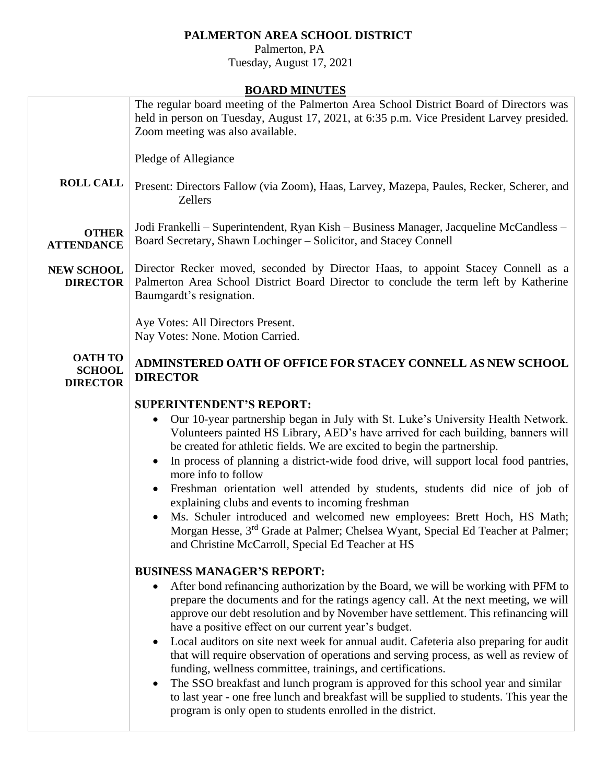## **PALMERTON AREA SCHOOL DISTRICT**

 Palmerton, PA Tuesday, August 17, 2021

## **BOARD MINUTES**

|                                                    | BOAKD MINUTES                                                                                                                                                                                                                                                                                                                                                                                                                                                                                                                                                                                                                                                                                                                                                                                                                                                                            |
|----------------------------------------------------|------------------------------------------------------------------------------------------------------------------------------------------------------------------------------------------------------------------------------------------------------------------------------------------------------------------------------------------------------------------------------------------------------------------------------------------------------------------------------------------------------------------------------------------------------------------------------------------------------------------------------------------------------------------------------------------------------------------------------------------------------------------------------------------------------------------------------------------------------------------------------------------|
|                                                    | The regular board meeting of the Palmerton Area School District Board of Directors was<br>held in person on Tuesday, August 17, 2021, at 6:35 p.m. Vice President Larvey presided.<br>Zoom meeting was also available.                                                                                                                                                                                                                                                                                                                                                                                                                                                                                                                                                                                                                                                                   |
|                                                    | Pledge of Allegiance                                                                                                                                                                                                                                                                                                                                                                                                                                                                                                                                                                                                                                                                                                                                                                                                                                                                     |
| <b>ROLL CALL</b>                                   | Present: Directors Fallow (via Zoom), Haas, Larvey, Mazepa, Paules, Recker, Scherer, and<br><b>Zellers</b>                                                                                                                                                                                                                                                                                                                                                                                                                                                                                                                                                                                                                                                                                                                                                                               |
| <b>OTHER</b><br><b>ATTENDANCE</b>                  | Jodi Frankelli – Superintendent, Ryan Kish – Business Manager, Jacqueline McCandless –<br>Board Secretary, Shawn Lochinger - Solicitor, and Stacey Connell                                                                                                                                                                                                                                                                                                                                                                                                                                                                                                                                                                                                                                                                                                                               |
| <b>NEW SCHOOL</b><br><b>DIRECTOR</b>               | Director Recker moved, seconded by Director Haas, to appoint Stacey Connell as a<br>Palmerton Area School District Board Director to conclude the term left by Katherine<br>Baumgardt's resignation.                                                                                                                                                                                                                                                                                                                                                                                                                                                                                                                                                                                                                                                                                     |
|                                                    | Aye Votes: All Directors Present.<br>Nay Votes: None. Motion Carried.                                                                                                                                                                                                                                                                                                                                                                                                                                                                                                                                                                                                                                                                                                                                                                                                                    |
| <b>OATH TO</b><br><b>SCHOOL</b><br><b>DIRECTOR</b> | ADMINSTERED OATH OF OFFICE FOR STACEY CONNELL AS NEW SCHOOL<br><b>DIRECTOR</b>                                                                                                                                                                                                                                                                                                                                                                                                                                                                                                                                                                                                                                                                                                                                                                                                           |
|                                                    | <b>SUPERINTENDENT'S REPORT:</b>                                                                                                                                                                                                                                                                                                                                                                                                                                                                                                                                                                                                                                                                                                                                                                                                                                                          |
|                                                    | Our 10-year partnership began in July with St. Luke's University Health Network.<br>$\bullet$<br>Volunteers painted HS Library, AED's have arrived for each building, banners will<br>be created for athletic fields. We are excited to begin the partnership.<br>In process of planning a district-wide food drive, will support local food pantries,<br>$\bullet$<br>more info to follow<br>Freshman orientation well attended by students, students did nice of job of<br>$\bullet$<br>explaining clubs and events to incoming freshman<br>Ms. Schuler introduced and welcomed new employees: Brett Hoch, HS Math;<br>Morgan Hesse, 3 <sup>rd</sup> Grade at Palmer; Chelsea Wyant, Special Ed Teacher at Palmer;<br>and Christine McCarroll, Special Ed Teacher at HS                                                                                                                |
|                                                    | <b>BUSINESS MANAGER'S REPORT:</b><br>After bond refinancing authorization by the Board, we will be working with PFM to<br>$\bullet$<br>prepare the documents and for the ratings agency call. At the next meeting, we will<br>approve our debt resolution and by November have settlement. This refinancing will<br>have a positive effect on our current year's budget.<br>Local auditors on site next week for annual audit. Cafeteria also preparing for audit<br>٠<br>that will require observation of operations and serving process, as well as review of<br>funding, wellness committee, trainings, and certifications.<br>The SSO breakfast and lunch program is approved for this school year and similar<br>$\bullet$<br>to last year - one free lunch and breakfast will be supplied to students. This year the<br>program is only open to students enrolled in the district. |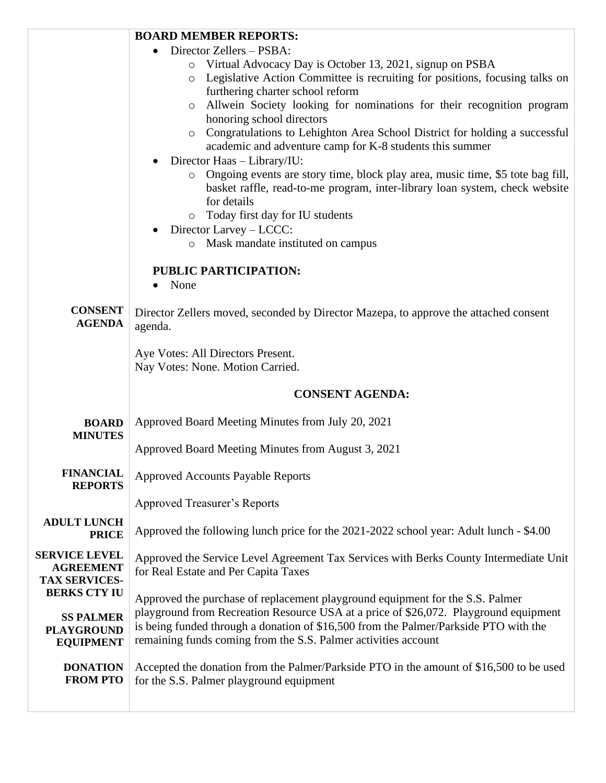|                                             | <b>BOARD MEMBER REPORTS:</b>                                                                                                                                                            |  |
|---------------------------------------------|-----------------------------------------------------------------------------------------------------------------------------------------------------------------------------------------|--|
|                                             | Director Zellers - PSBA:<br>$\bullet$                                                                                                                                                   |  |
|                                             | o Virtual Advocacy Day is October 13, 2021, signup on PSBA<br>Legislative Action Committee is recruiting for positions, focusing talks on<br>$\circ$                                    |  |
|                                             | furthering charter school reform                                                                                                                                                        |  |
|                                             | Allwein Society looking for nominations for their recognition program<br>honoring school directors                                                                                      |  |
|                                             | o Congratulations to Lehighton Area School District for holding a successful                                                                                                            |  |
|                                             | academic and adventure camp for K-8 students this summer                                                                                                                                |  |
|                                             | Director Haas - Library/IU:                                                                                                                                                             |  |
|                                             | Ongoing events are story time, block play area, music time, \$5 tote bag fill,<br>$\circ$<br>basket raffle, read-to-me program, inter-library loan system, check website<br>for details |  |
|                                             | o Today first day for IU students                                                                                                                                                       |  |
|                                             | Director Larvey - LCCC:                                                                                                                                                                 |  |
|                                             | Mask mandate instituted on campus<br>$\circ$                                                                                                                                            |  |
|                                             | PUBLIC PARTICIPATION:                                                                                                                                                                   |  |
|                                             | None                                                                                                                                                                                    |  |
|                                             |                                                                                                                                                                                         |  |
| <b>CONSENT</b><br><b>AGENDA</b>             | Director Zellers moved, seconded by Director Mazepa, to approve the attached consent<br>agenda.                                                                                         |  |
|                                             | Aye Votes: All Directors Present.                                                                                                                                                       |  |
|                                             | Nay Votes: None. Motion Carried.                                                                                                                                                        |  |
|                                             | <b>CONSENT AGENDA:</b>                                                                                                                                                                  |  |
| <b>BOARD</b>                                | Approved Board Meeting Minutes from July 20, 2021                                                                                                                                       |  |
| <b>MINUTES</b>                              |                                                                                                                                                                                         |  |
|                                             | Approved Board Meeting Minutes from August 3, 2021                                                                                                                                      |  |
| <b>FINANCIAL</b><br><b>REPORTS</b>          | <b>Approved Accounts Payable Reports</b>                                                                                                                                                |  |
|                                             | <b>Approved Treasurer's Reports</b>                                                                                                                                                     |  |
| <b>ADULT LUNCH</b><br><b>PRICE</b>          | Approved the following lunch price for the 2021-2022 school year: Adult lunch - \$4.00                                                                                                  |  |
| <b>SERVICE LEVEL</b><br><b>AGREEMENT</b>    | Approved the Service Level Agreement Tax Services with Berks County Intermediate Unit<br>for Real Estate and Per Capita Taxes                                                           |  |
| <b>TAX SERVICES-</b><br><b>BERKS CTY IU</b> |                                                                                                                                                                                         |  |
|                                             | Approved the purchase of replacement playground equipment for the S.S. Palmer                                                                                                           |  |
| <b>SS PALMER</b><br><b>PLAYGROUND</b>       | playground from Recreation Resource USA at a price of \$26,072. Playground equipment<br>is being funded through a donation of \$16,500 from the Palmer/Parkside PTO with the            |  |
| <b>EQUIPMENT</b>                            | remaining funds coming from the S.S. Palmer activities account                                                                                                                          |  |
|                                             |                                                                                                                                                                                         |  |
| <b>DONATION</b><br><b>FROM PTO</b>          | Accepted the donation from the Palmer/Parkside PTO in the amount of \$16,500 to be used<br>for the S.S. Palmer playground equipment                                                     |  |
|                                             |                                                                                                                                                                                         |  |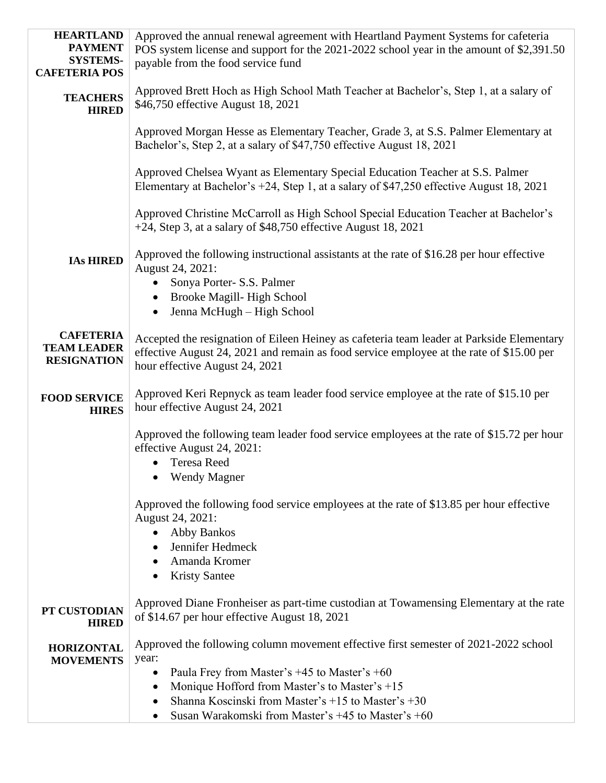| <b>HEARTLAND</b>                         | Approved the annual renewal agreement with Heartland Payment Systems for cafeteria                                                                                       |  |  |
|------------------------------------------|--------------------------------------------------------------------------------------------------------------------------------------------------------------------------|--|--|
| <b>PAYMENT</b><br><b>SYSTEMS-</b>        | POS system license and support for the 2021-2022 school year in the amount of \$2,391.50<br>payable from the food service fund                                           |  |  |
| <b>CAFETERIA POS</b>                     |                                                                                                                                                                          |  |  |
| <b>TEACHERS</b><br><b>HIRED</b>          | Approved Brett Hoch as High School Math Teacher at Bachelor's, Step 1, at a salary of<br>\$46,750 effective August 18, 2021                                              |  |  |
|                                          | Approved Morgan Hesse as Elementary Teacher, Grade 3, at S.S. Palmer Elementary at<br>Bachelor's, Step 2, at a salary of \$47,750 effective August 18, 2021              |  |  |
|                                          | Approved Chelsea Wyant as Elementary Special Education Teacher at S.S. Palmer<br>Elementary at Bachelor's +24, Step 1, at a salary of \$47,250 effective August 18, 2021 |  |  |
|                                          | Approved Christine McCarroll as High School Special Education Teacher at Bachelor's<br>$+24$ , Step 3, at a salary of \$48,750 effective August 18, 2021                 |  |  |
| <b>IAs HIRED</b>                         | Approved the following instructional assistants at the rate of \$16.28 per hour effective<br>August 24, 2021:                                                            |  |  |
|                                          | • Sonya Porter- S.S. Palmer                                                                                                                                              |  |  |
|                                          | Brooke Magill-High School<br>Jenna McHugh - High School<br>$\bullet$                                                                                                     |  |  |
|                                          |                                                                                                                                                                          |  |  |
| <b>CAFETERIA</b>                         | Accepted the resignation of Eileen Heiney as cafeteria team leader at Parkside Elementary                                                                                |  |  |
| <b>TEAM LEADER</b><br><b>RESIGNATION</b> | effective August 24, 2021 and remain as food service employee at the rate of \$15.00 per                                                                                 |  |  |
|                                          | hour effective August 24, 2021                                                                                                                                           |  |  |
| <b>FOOD SERVICE</b><br><b>HIRES</b>      | Approved Keri Repnyck as team leader food service employee at the rate of \$15.10 per<br>hour effective August 24, 2021                                                  |  |  |
|                                          | Approved the following team leader food service employees at the rate of \$15.72 per hour<br>effective August 24, 2021:                                                  |  |  |
|                                          | <b>Teresa Reed</b>                                                                                                                                                       |  |  |
|                                          | <b>Wendy Magner</b>                                                                                                                                                      |  |  |
|                                          | Approved the following food service employees at the rate of \$13.85 per hour effective<br>August 24, 2021:                                                              |  |  |
|                                          | <b>Abby Bankos</b><br>$\bullet$                                                                                                                                          |  |  |
|                                          | Jennifer Hedmeck                                                                                                                                                         |  |  |
|                                          | Amanda Kromer                                                                                                                                                            |  |  |
|                                          | <b>Kristy Santee</b>                                                                                                                                                     |  |  |
| PT CUSTODIAN<br><b>HIRED</b>             | Approved Diane Fronheiser as part-time custodian at Towamensing Elementary at the rate<br>of \$14.67 per hour effective August 18, 2021                                  |  |  |
| <b>HORIZONTAL</b><br><b>MOVEMENTS</b>    | Approved the following column movement effective first semester of 2021-2022 school<br>year:                                                                             |  |  |
|                                          | Paula Frey from Master's $+45$ to Master's $+60$<br>٠                                                                                                                    |  |  |
|                                          | Monique Hofford from Master's to Master's +15<br>٠                                                                                                                       |  |  |
|                                          | Shanna Koscinski from Master's +15 to Master's +30<br>٠                                                                                                                  |  |  |
|                                          | Susan Warakomski from Master's +45 to Master's +60                                                                                                                       |  |  |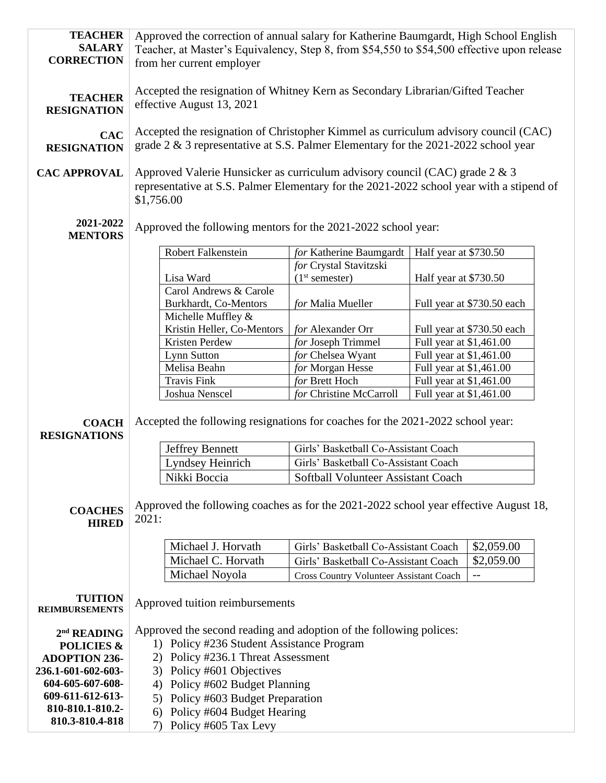| <b>TEACHER</b><br><b>SALARY</b><br><b>CORRECTION</b>                                                                         | Approved the correction of annual salary for Katherine Baumgardt, High School English<br>Teacher, at Master's Equivalency, Step 8, from \$54,550 to \$54,500 effective upon release<br>from her current employer     |                                                |                         |                            |  |
|------------------------------------------------------------------------------------------------------------------------------|----------------------------------------------------------------------------------------------------------------------------------------------------------------------------------------------------------------------|------------------------------------------------|-------------------------|----------------------------|--|
| <b>TEACHER</b><br><b>RESIGNATION</b>                                                                                         | Accepted the resignation of Whitney Kern as Secondary Librarian/Gifted Teacher<br>effective August 13, 2021                                                                                                          |                                                |                         |                            |  |
| <b>CAC</b><br><b>RESIGNATION</b>                                                                                             | Accepted the resignation of Christopher Kimmel as curriculum advisory council (CAC)<br>grade 2 & 3 representative at S.S. Palmer Elementary for the 2021-2022 school year                                            |                                                |                         |                            |  |
| <b>CAC APPROVAL</b>                                                                                                          | Approved Valerie Hunsicker as curriculum advisory council (CAC) grade 2 & 3<br>representative at S.S. Palmer Elementary for the 2021-2022 school year with a stipend of<br>\$1,756.00                                |                                                |                         |                            |  |
| 2021-2022<br><b>MENTORS</b>                                                                                                  | Approved the following mentors for the 2021-2022 school year:                                                                                                                                                        |                                                |                         |                            |  |
|                                                                                                                              | Robert Falkenstein                                                                                                                                                                                                   | for Katherine Baumgardt                        | Half year at \$730.50   |                            |  |
|                                                                                                                              |                                                                                                                                                                                                                      | for Crystal Stavitzski                         |                         |                            |  |
|                                                                                                                              | Lisa Ward                                                                                                                                                                                                            | (1 <sup>st</sup> semester)                     | Half year at \$730.50   |                            |  |
|                                                                                                                              | Carol Andrews & Carole                                                                                                                                                                                               |                                                |                         |                            |  |
|                                                                                                                              | Burkhardt, Co-Mentors                                                                                                                                                                                                | for Malia Mueller                              |                         | Full year at \$730.50 each |  |
|                                                                                                                              | Michelle Muffley &                                                                                                                                                                                                   |                                                |                         |                            |  |
|                                                                                                                              | Kristin Heller, Co-Mentors                                                                                                                                                                                           | for Alexander Orr                              |                         | Full year at \$730.50 each |  |
|                                                                                                                              | Kristen Perdew                                                                                                                                                                                                       | for Joseph Trimmel                             | Full year at \$1,461.00 |                            |  |
|                                                                                                                              | Lynn Sutton                                                                                                                                                                                                          | for Chelsea Wyant                              | Full year at \$1,461.00 |                            |  |
|                                                                                                                              | Melisa Beahn                                                                                                                                                                                                         | for Morgan Hesse                               | Full year at \$1,461.00 |                            |  |
|                                                                                                                              | <b>Travis Fink</b>                                                                                                                                                                                                   | for Brett Hoch                                 | Full year at \$1,461.00 |                            |  |
|                                                                                                                              | Joshua Nenscel                                                                                                                                                                                                       | for Christine McCarroll                        | Full year at \$1,461.00 |                            |  |
| <b>COACH</b><br><b>RESIGNATIONS</b>                                                                                          | Accepted the following resignations for coaches for the 2021-2022 school year:                                                                                                                                       |                                                |                         |                            |  |
|                                                                                                                              | <b>Jeffrey Bennett</b>                                                                                                                                                                                               | Girls' Basketball Co-Assistant Coach           |                         |                            |  |
|                                                                                                                              | Lyndsey Heinrich                                                                                                                                                                                                     | Girls' Basketball Co-Assistant Coach           |                         |                            |  |
|                                                                                                                              | Nikki Boccia                                                                                                                                                                                                         | Softball Volunteer Assistant Coach             |                         |                            |  |
| <b>COACHES</b><br><b>HIRED</b>                                                                                               | Approved the following coaches as for the 2021-2022 school year effective August 18,<br>2021:                                                                                                                        |                                                |                         |                            |  |
|                                                                                                                              | Michael J. Horvath                                                                                                                                                                                                   | Girls' Basketball Co-Assistant Coach           |                         | \$2,059.00                 |  |
|                                                                                                                              | Michael C. Horvath                                                                                                                                                                                                   | Girls' Basketball Co-Assistant Coach           |                         | \$2,059.00                 |  |
|                                                                                                                              | Michael Noyola                                                                                                                                                                                                       | <b>Cross Country Volunteer Assistant Coach</b> |                         | $- -$                      |  |
| <b>TUITION</b><br><b>REIMBURSEMENTS</b>                                                                                      | Approved tuition reimbursements                                                                                                                                                                                      |                                                |                         |                            |  |
| $2nd$ READING<br><b>POLICIES &amp;</b><br><b>ADOPTION 236-</b><br>236.1-601-602-603-<br>604-605-607-608-<br>609-611-612-613- | Approved the second reading and adoption of the following polices:<br>1) Policy #236 Student Assistance Program<br>2) Policy #236.1 Threat Assessment<br>3) Policy #601 Objectives<br>4) Policy #602 Budget Planning |                                                |                         |                            |  |
| 810-810.1-810.2-                                                                                                             | 5) Policy #603 Budget Preparation                                                                                                                                                                                    |                                                |                         |                            |  |
| 810.3-810.4-818                                                                                                              | 6) Policy #604 Budget Hearing<br>7) Policy #605 Tax Levy                                                                                                                                                             |                                                |                         |                            |  |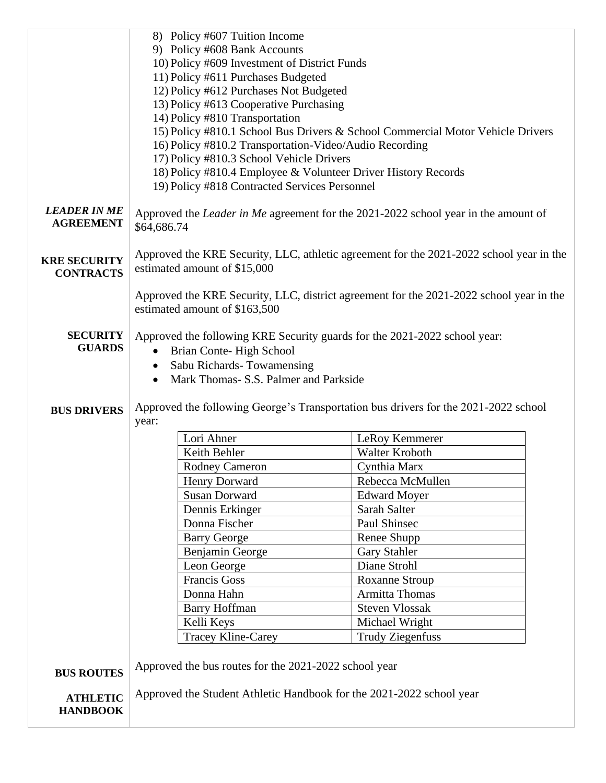|                                         | 8) Policy #607 Tuition Income                                                                                                            |                                                                                         |  |
|-----------------------------------------|------------------------------------------------------------------------------------------------------------------------------------------|-----------------------------------------------------------------------------------------|--|
|                                         | 9) Policy #608 Bank Accounts                                                                                                             |                                                                                         |  |
|                                         | 10) Policy #609 Investment of District Funds                                                                                             |                                                                                         |  |
|                                         | 11) Policy #611 Purchases Budgeted                                                                                                       |                                                                                         |  |
|                                         | 12) Policy #612 Purchases Not Budgeted                                                                                                   |                                                                                         |  |
|                                         | 13) Policy #613 Cooperative Purchasing                                                                                                   |                                                                                         |  |
|                                         | 14) Policy #810 Transportation                                                                                                           |                                                                                         |  |
|                                         | 15) Policy #810.1 School Bus Drivers & School Commercial Motor Vehicle Drivers<br>16) Policy #810.2 Transportation-Video/Audio Recording |                                                                                         |  |
|                                         |                                                                                                                                          |                                                                                         |  |
|                                         | 17) Policy #810.3 School Vehicle Drivers                                                                                                 |                                                                                         |  |
|                                         | 18) Policy #810.4 Employee & Volunteer Driver History Records<br>19) Policy #818 Contracted Services Personnel                           |                                                                                         |  |
|                                         |                                                                                                                                          |                                                                                         |  |
| <b>LEADER IN ME</b><br><b>AGREEMENT</b> | Approved the <i>Leader in Me</i> agreement for the 2021-2022 school year in the amount of<br>\$64,686.74                                 |                                                                                         |  |
|                                         | Approved the KRE Security, LLC, athletic agreement for the 2021-2022 school year in the                                                  |                                                                                         |  |
| <b>KRE SECURITY</b>                     | estimated amount of \$15,000                                                                                                             |                                                                                         |  |
| <b>CONTRACTS</b>                        |                                                                                                                                          |                                                                                         |  |
|                                         |                                                                                                                                          | Approved the KRE Security, LLC, district agreement for the 2021-2022 school year in the |  |
|                                         | estimated amount of \$163,500                                                                                                            |                                                                                         |  |
|                                         |                                                                                                                                          |                                                                                         |  |
| <b>SECURITY</b>                         |                                                                                                                                          | Approved the following KRE Security guards for the 2021-2022 school year:               |  |
| <b>GUARDS</b>                           | Brian Conte-High School<br>$\bullet$                                                                                                     |                                                                                         |  |
|                                         | Sabu Richards-Towamensing<br>$\bullet$                                                                                                   |                                                                                         |  |
|                                         | Mark Thomas- S.S. Palmer and Parkside                                                                                                    |                                                                                         |  |
|                                         |                                                                                                                                          |                                                                                         |  |
| <b>BUS DRIVERS</b>                      |                                                                                                                                          | Approved the following George's Transportation bus drivers for the 2021-2022 school     |  |
|                                         | year:                                                                                                                                    |                                                                                         |  |
|                                         | Lori Ahner                                                                                                                               | LeRoy Kemmerer                                                                          |  |
|                                         | Keith Behler                                                                                                                             | Walter Kroboth                                                                          |  |
|                                         | <b>Rodney Cameron</b>                                                                                                                    | Cynthia Marx                                                                            |  |
|                                         | Henry Dorward                                                                                                                            | Rebecca McMullen                                                                        |  |
|                                         | <b>Susan Dorward</b>                                                                                                                     | <b>Edward Moyer</b>                                                                     |  |
|                                         | Dennis Erkinger                                                                                                                          | Sarah Salter                                                                            |  |
|                                         | Donna Fischer                                                                                                                            | Paul Shinsec                                                                            |  |
|                                         | <b>Barry George</b>                                                                                                                      | Renee Shupp                                                                             |  |
|                                         | Benjamin George                                                                                                                          | <b>Gary Stahler</b>                                                                     |  |
|                                         | Leon George                                                                                                                              | Diane Strohl                                                                            |  |
|                                         | Francis Goss                                                                                                                             | <b>Roxanne Stroup</b>                                                                   |  |
|                                         | Donna Hahn                                                                                                                               | <b>Armitta Thomas</b>                                                                   |  |
|                                         | <b>Barry Hoffman</b>                                                                                                                     | <b>Steven Vlossak</b>                                                                   |  |
|                                         | Kelli Keys                                                                                                                               | Michael Wright                                                                          |  |
|                                         | <b>Tracey Kline-Carey</b>                                                                                                                | <b>Trudy Ziegenfuss</b>                                                                 |  |
|                                         |                                                                                                                                          |                                                                                         |  |
| <b>BUS ROUTES</b>                       | Approved the bus routes for the 2021-2022 school year                                                                                    |                                                                                         |  |
|                                         | Approved the Student Athletic Handbook for the 2021-2022 school year                                                                     |                                                                                         |  |
| <b>ATHLETIC</b><br><b>HANDBOOK</b>      |                                                                                                                                          |                                                                                         |  |